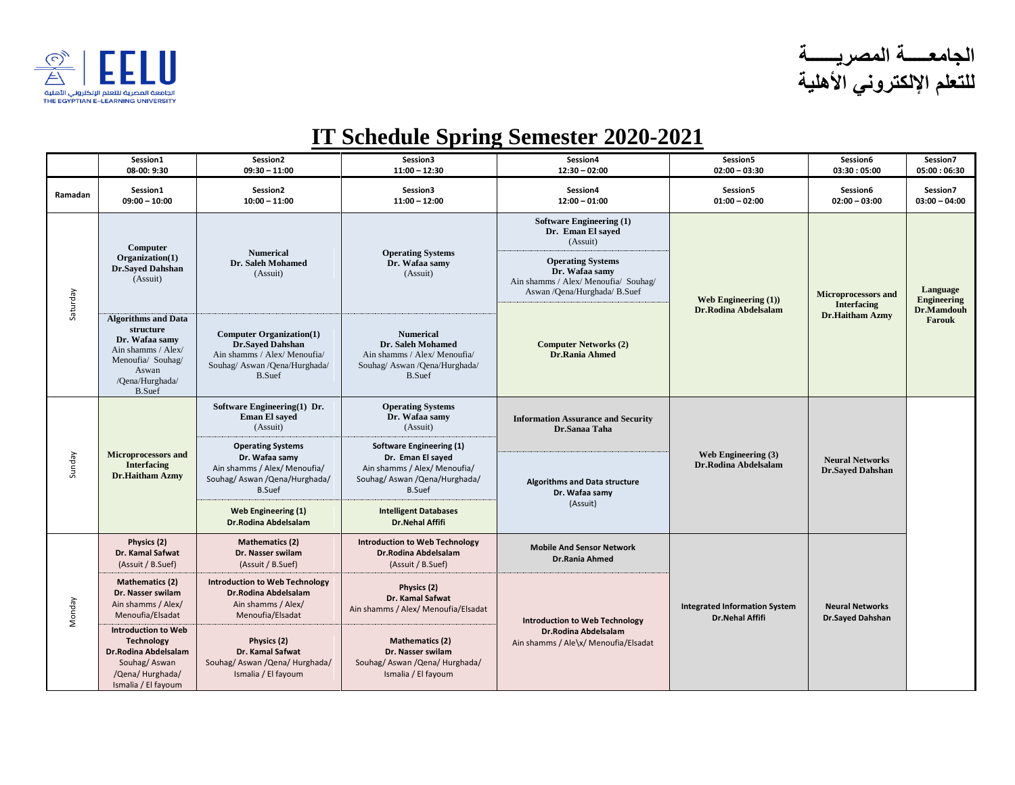

**الجامعـــــة المصريــــــة للتعلم اإللكتروني األهلية**

## **IT Schedule Spring Semester 2020-2021**

|          | Session1<br>08-00: 9:30                                                                                                                           | Session2<br>$09:30 - 11:00$                                                                                                                  | Session3<br>$11:00 - 12:30$                                                                                                             | Session4<br>$12:30 - 02:00$                                                                                                                                                             | Session5<br>$02:00 - 03:30$                             | Session6<br>03:30:05:00                                                    | Session7<br>05:00:06:30                         |
|----------|---------------------------------------------------------------------------------------------------------------------------------------------------|----------------------------------------------------------------------------------------------------------------------------------------------|-----------------------------------------------------------------------------------------------------------------------------------------|-----------------------------------------------------------------------------------------------------------------------------------------------------------------------------------------|---------------------------------------------------------|----------------------------------------------------------------------------|-------------------------------------------------|
| Ramadan  | Session1<br>$09:00 - 10:00$                                                                                                                       | Session2<br>$10:00 - 11:00$                                                                                                                  | Session3<br>$11:00 - 12:00$                                                                                                             | Session4<br>$12:00 - 01:00$                                                                                                                                                             | Session5<br>$01:00 - 02:00$                             | Session6<br>$02:00 - 03:00$                                                | Session7<br>$03:00 - 04:00$                     |
| Saturday | Computer<br>Organization(1)<br><b>Dr.Saved Dahshan</b><br>(Assuit)                                                                                | <b>Numerical</b><br>Dr. Saleh Mohamed<br>(Assuit)                                                                                            | <b>Operating Systems</b><br>Dr. Wafaa samv<br>(Assuit)                                                                                  | <b>Software Engineering (1)</b><br>Dr. Eman El sayed<br>(Assuit)<br><b>Operating Systems</b><br>Dr. Wafaa samy<br>Ain shamms / Alex/ Menoufia/ Souhag/<br>Aswan / Qena/Hurghada/ B.Suef | Web Engineering $(1)$ )<br>Dr.Rodina Abdelsalam         | <b>Microprocessors and</b><br><b>Interfacing</b><br><b>Dr.Haitham Azmy</b> | Language<br>Engineering<br>Dr.Mamdouh<br>Farouk |
|          | <b>Algorithms and Data</b><br>structure<br>Dr. Wafaa samv<br>Ain shamms / Alex/<br>Menoufia/ Souhag/<br>Aswan<br>/Qena/Hurghada/<br><b>B.Suef</b> | <b>Computer Organization(1)</b><br><b>Dr.Saved Dahshan</b><br>Ain shamms / Alex/ Menoufia/<br>Souhag/ Aswan /Qena/Hurghada/<br><b>B.Suef</b> | <b>Numerical</b><br>Dr. Saleh Mohamed<br>Ain shamms / Alex/ Menoufia/<br>Souhag/ Aswan /Qena/Hurghada/<br><b>B.Suef</b>                 | <b>Computer Networks (2)</b><br><b>Dr.Rania Ahmed</b>                                                                                                                                   |                                                         |                                                                            |                                                 |
| Sunday   | <b>Microprocessors and</b><br><b>Interfacing</b><br>Dr.Haitham Azmy                                                                               | Software Engineering(1) Dr.<br><b>Eman El sayed</b><br>(Assuit)                                                                              | <b>Operating Systems</b><br>Dr. Wafaa samy<br>(Assuit)                                                                                  | <b>Information Assurance and Security</b><br>Dr.Sanaa Taha<br><b>Algorithms and Data structure</b><br>Dr. Wafaa samy<br>(Assuit)                                                        | Web Engineering (3)<br>Dr.Rodina Abdelsalam             | <b>Neural Networks</b><br><b>Dr.Sayed Dahshan</b>                          |                                                 |
|          |                                                                                                                                                   | <b>Operating Systems</b><br>Dr. Wafaa samy<br>Ain shamms / Alex/ Menoufia/<br>Souhag/Aswan/Qena/Hurghada/<br><b>B.Suef</b>                   | <b>Software Engineering (1)</b><br>Dr. Eman El sayed<br>Ain shamms / Alex/ Menoufia/<br>Souhag/ Aswan / Qena/Hurghada/<br><b>B.Suef</b> |                                                                                                                                                                                         |                                                         |                                                                            |                                                 |
|          |                                                                                                                                                   | Web Engineering (1)<br><b>Dr.Rodina Abdelsalam</b>                                                                                           | <b>Intelligent Databases</b><br><b>Dr.Nehal Affifi</b>                                                                                  |                                                                                                                                                                                         |                                                         |                                                                            |                                                 |
| Monday   | Physics (2)<br>Dr. Kamal Safwat<br>(Assuit / B.Suef)                                                                                              | <b>Mathematics (2)</b><br>Dr. Nasser swilam<br>(Assuit / B.Suef)                                                                             | <b>Introduction to Web Technology</b><br>Dr.Rodina Abdelsalam<br>(Assuit / B.Suef)                                                      | <b>Mobile And Sensor Network</b><br><b>Dr.Rania Ahmed</b>                                                                                                                               |                                                         | <b>Neural Networks</b><br><b>Dr.Sayed Dahshan</b>                          |                                                 |
|          | <b>Mathematics (2)</b><br>Dr. Nasser swilam<br>Ain shamms / Alex/<br>Menoufia/Elsadat                                                             | <b>Introduction to Web Technology</b><br>Dr.Rodina Abdelsalam<br>Ain shamms / Alex/<br>Menoufia/Elsadat                                      | Physics (2)<br>Dr. Kamal Safwat<br>Ain shamms / Alex/ Menoufia/Elsadat                                                                  | <b>Introduction to Web Technology</b>                                                                                                                                                   | <b>Integrated Information System</b><br>Dr.Nehal Affifi |                                                                            |                                                 |
|          | <b>Introduction to Web</b><br>Technology<br>Dr.Rodina Abdelsalam<br>Souhag/Aswan<br>/Qena/ Hurghada/<br>Ismalia / El fayoum                       | Physics (2)<br>Dr. Kamal Safwat<br>Souhag/ Aswan / Qena/ Hurghada/<br>Ismalia / El fayoum                                                    | <b>Mathematics (2)</b><br>Dr. Nasser swilam<br>Souhag/ Aswan / Qena/ Hurghada/<br>Ismalia / El fayoum                                   | Dr.Rodina Abdelsalam<br>Ain shamms / Ale\x/ Menoufia/Elsadat                                                                                                                            |                                                         |                                                                            |                                                 |